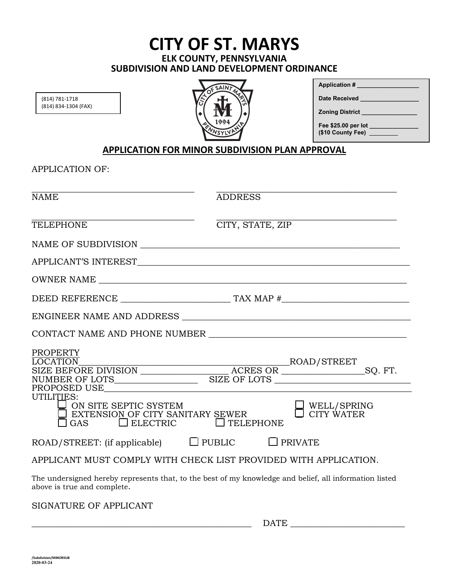### **CITY OF ST. MARYS ELK COUNTY, PENNSYLVANIA SUBDIVISION AND LAND DEVELOPMENT ORDINANCE**

(814) 781-1718 (814) 834-1304 (FAX)



| <b>Application #</b>                     |
|------------------------------------------|
| <b>Date Received</b>                     |
| <b>Zoning District</b>                   |
| Fee \$25.00 per lot<br>(\$10 County Fee) |

#### **APPLICATION FOR MINOR SUBDIVISION PLAN APPROVAL**

APPLICATION OF:

| <b>NAME</b>                                                                                                                                                                                                                                                                                     | <b>ADDRESS</b>   |                           |
|-------------------------------------------------------------------------------------------------------------------------------------------------------------------------------------------------------------------------------------------------------------------------------------------------|------------------|---------------------------|
| <b>TELEPHONE</b>                                                                                                                                                                                                                                                                                | CITY, STATE, ZIP |                           |
|                                                                                                                                                                                                                                                                                                 |                  |                           |
|                                                                                                                                                                                                                                                                                                 |                  |                           |
|                                                                                                                                                                                                                                                                                                 |                  |                           |
|                                                                                                                                                                                                                                                                                                 |                  |                           |
|                                                                                                                                                                                                                                                                                                 |                  |                           |
| CONTACT NAME AND PHONE NUMBER                                                                                                                                                                                                                                                                   |                  |                           |
| <b>PROPERTY</b><br>$\begin{tabular}{l c c c} \hline \texttt{LOCALTON} & \texttt{ROAD/STREF} \\ \hline \texttt{SIZE BEFORE DIVISION} & \texttt{ACRES OR} & \texttt{SOR} & \texttt{SQ. FT.} \\ \hline \end{tabular}$<br>UTILITIES:<br>I ON SITE SEPTIC SYSTEM<br>EXTENSION OF CITY SANITARY SEWER |                  | WELL/SPRING<br>CITY WATER |
| $\Box$ ELECTRIC<br>GAS                                                                                                                                                                                                                                                                          | $\Box$ TELEPHONE |                           |
| ROAD/STREET: (if applicable) $\Box$ PUBLIC $\Box$ PRIVATE                                                                                                                                                                                                                                       |                  |                           |
| APPLICANT MUST COMPLY WITH CHECK LIST PROVIDED WITH APPLICATION.                                                                                                                                                                                                                                |                  |                           |
| The undersigned hereby represents that, to the best of my knowledge and belief, all information listed<br>above is true and complete.                                                                                                                                                           |                  |                           |

SIGNATURE OF APPLICANT

|  | ------ |
|--|--------|
|--|--------|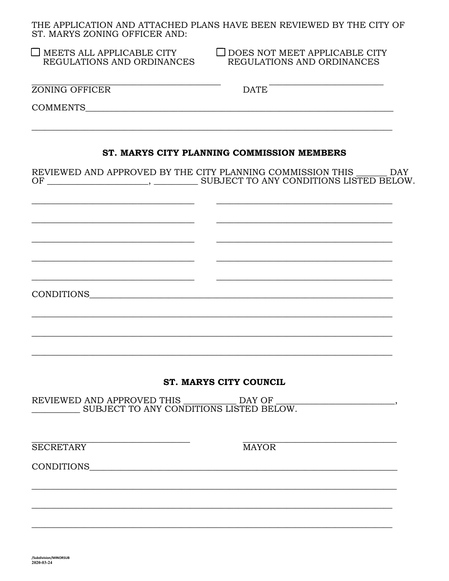THE APPLICATION AND ATTACHED PLANS HAVE BEEN REVIEWED BY THE CITY OF ST. MARYS ZONING OFFICER AND

| 51. MANTS ZUNING UITTULIN AND.                                 |                                                                    |  |  |  |  |
|----------------------------------------------------------------|--------------------------------------------------------------------|--|--|--|--|
| $\Box$ MEETS ALL APPLICABLE CITY<br>REGULATIONS AND ORDINANCES | $\Box$ DOES NOT MEET APPLICABLE CITY<br>REGULATIONS AND ORDINANCES |  |  |  |  |
| ZONING OFFICER                                                 | DATE <sup>-</sup>                                                  |  |  |  |  |
|                                                                |                                                                    |  |  |  |  |
|                                                                | ST. MARYS CITY PLANNING COMMISSION MEMBERS                         |  |  |  |  |
|                                                                | REVIEWED AND APPROVED BY THE CITY PLANNING COMMISSION THIS DAY     |  |  |  |  |
|                                                                |                                                                    |  |  |  |  |
|                                                                |                                                                    |  |  |  |  |
|                                                                |                                                                    |  |  |  |  |
|                                                                |                                                                    |  |  |  |  |
|                                                                |                                                                    |  |  |  |  |
|                                                                |                                                                    |  |  |  |  |
| <b>ST. MARYS CITY COUNCIL</b>                                  |                                                                    |  |  |  |  |

REVIEWED AND APPROVED THIS DAY OF SUBJECT TO ANY CONDITIONS LISTED BELOW.

**SECRETARY** 

**MAYOR** 

 $\overline{\phantom{a}}$ 

CONDITIONS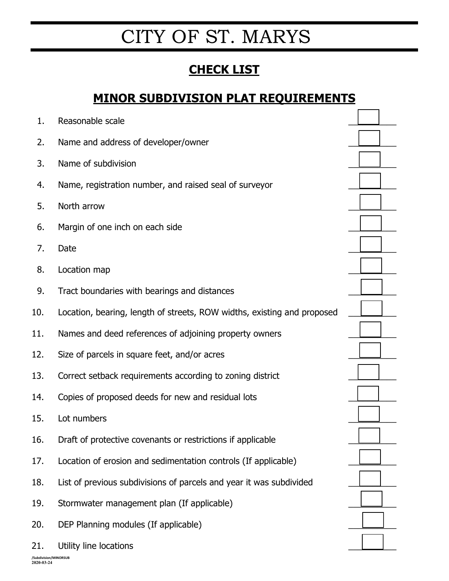# CITY OF ST. MARYS

## **CHECK LIST**

### **MINOR SUBDIVISION PLAT REQUIREMENTS**

| 1.  | Reasonable scale                                                        |  |
|-----|-------------------------------------------------------------------------|--|
| 2.  | Name and address of developer/owner                                     |  |
| 3.  | Name of subdivision                                                     |  |
| 4.  | Name, registration number, and raised seal of surveyor                  |  |
| 5.  | North arrow                                                             |  |
| 6.  | Margin of one inch on each side                                         |  |
| 7.  | Date                                                                    |  |
| 8.  | Location map                                                            |  |
| 9.  | Tract boundaries with bearings and distances                            |  |
| 10. | Location, bearing, length of streets, ROW widths, existing and proposed |  |
| 11. | Names and deed references of adjoining property owners                  |  |
| 12. | Size of parcels in square feet, and/or acres                            |  |
| 13. | Correct setback requirements according to zoning district               |  |
| 14. | Copies of proposed deeds for new and residual lots                      |  |
| 15. | Lot numbers                                                             |  |
| 16. | Draft of protective covenants or restrictions if applicable             |  |
| 17. | Location of erosion and sedimentation controls (If applicable)          |  |
| 18. | List of previous subdivisions of parcels and year it was subdivided     |  |
| 19. | Stormwater management plan (If applicable)                              |  |
| 20. | DEP Planning modules (If applicable)                                    |  |
| 21. | Utility line locations                                                  |  |